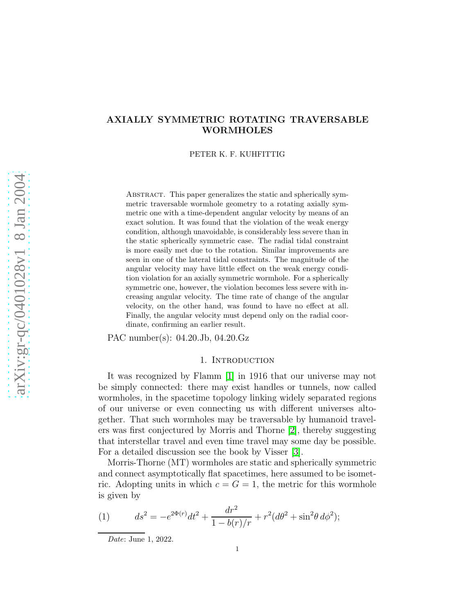# AXIALLY SYMMETRIC ROTATING TRAVERSABLE WORMHOLES

PETER K. F. KUHFITTIG

ABSTRACT. This paper generalizes the static and spherically symmetric traversable wormhole geometry to a rotating axially symmetric one with a time-dependent angular velocity by means of an exact solution. It was found that the violation of the weak energy condition, although unavoidable, is considerably less severe than in the static spherically symmetric case. The radial tidal constraint is more easily met due to the rotation. Similar improvements are seen in one of the lateral tidal constraints. The magnitude of the angular velocity may have little effect on the weak energy condition violation for an axially symmetric wormhole. For a spherically symmetric one, however, the violation becomes less severe with increasing angular velocity. The time rate of change of the angular velocity, on the other hand, was found to have no effect at all. Finally, the angular velocity must depend only on the radial coordinate, confirming an earlier result.

PAC number(s): 04.20.Jb, 04.20.Gz

### 1. INTRODUCTION

It was recognized by Flamm [\[1\]](#page-16-0) in 1916 that our universe may not be simply connected: there may exist handles or tunnels, now called wormholes, in the spacetime topology linking widely separated regions of our universe or even connecting us with different universes altogether. That such wormholes may be traversable by humanoid travelers was first conjectured by Morris and Thorne [\[2\]](#page-16-1), thereby suggesting that interstellar travel and even time travel may some day be possible. For a detailed discussion see the book by Visser [\[3\]](#page-16-2).

Morris-Thorne (MT) wormholes are static and spherically symmetric and connect asymptotically flat spacetimes, here assumed to be isometric. Adopting units in which  $c = G = 1$ , the metric for this wormhole is given by

(1) 
$$
ds^{2} = -e^{2\Phi(r)}dt^{2} + \frac{dr^{2}}{1 - b(r)/r} + r^{2}(d\theta^{2} + \sin^{2}\theta \, d\phi^{2});
$$

Date: June 1, 2022.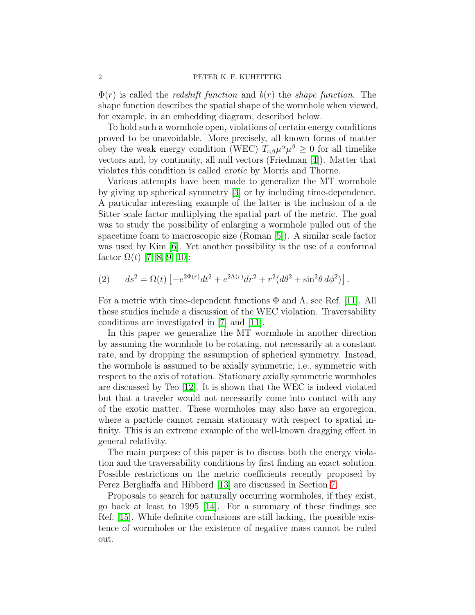$\Phi(r)$  is called the *redshift function* and  $b(r)$  the *shape function*. The shape function describes the spatial shape of the wormhole when viewed, for example, in an embedding diagram, described below.

To hold such a wormhole open, violations of certain energy conditions proved to be unavoidable. More precisely, all known forms of matter obey the weak energy condition (WEC)  $T_{\alpha\beta}\mu^{\alpha}\mu^{\beta} \geq 0$  for all timelike vectors and, by continuity, all null vectors (Friedman [\[4\]](#page-16-3)). Matter that violates this condition is called exotic by Morris and Thorne.

Various attempts have been made to generalize the MT wormhole by giving up spherical symmetry [\[3\]](#page-16-2) or by including time-dependence. A particular interesting example of the latter is the inclusion of a de Sitter scale factor multiplying the spatial part of the metric. The goal was to study the possibility of enlarging a wormhole pulled out of the spacetime foam to macroscopic size (Roman [\[5\]](#page-16-4)). A similar scale factor was used by Kim [\[6\]](#page-16-5). Yet another possibility is the use of a conformal factor  $Ω(t)$  [\[7,](#page-16-6) [8,](#page-16-7) [9,](#page-16-8) [10\]](#page-16-9):

(2) 
$$
ds^{2} = \Omega(t) \left[ -e^{2\Phi(r)}dt^{2} + e^{2\Lambda(r)}dr^{2} + r^{2}(d\theta^{2} + \sin^{2}\theta d\phi^{2}) \right].
$$

For a metric with time-dependent functions  $\Phi$  and  $\Lambda$ , see Ref. [\[11\]](#page-16-10). All these studies include a discussion of the WEC violation. Traversability conditions are investigated in [\[7\]](#page-16-6) and [\[11\]](#page-16-10).

In this paper we generalize the MT wormhole in another direction by assuming the wormhole to be rotating, not necessarily at a constant rate, and by dropping the assumption of spherical symmetry. Instead, the wormhole is assumed to be axially symmetric, i.e., symmetric with respect to the axis of rotation. Stationary axially symmetric wormholes are discussed by Teo [\[12\]](#page-16-11). It is shown that the WEC is indeed violated but that a traveler would not necessarily come into contact with any of the exotic matter. These wormholes may also have an ergoregion, where a particle cannot remain stationary with respect to spatial infinity. This is an extreme example of the well-known dragging effect in general relativity.

The main purpose of this paper is to discuss both the energy violation and the traversability conditions by first finding an exact solution. Possible restrictions on the metric coefficients recently proposed by Perez Bergliaffa and Hibberd [\[13\]](#page-16-12) are discussed in Section [7.](#page-11-0)

Proposals to search for naturally occurring wormholes, if they exist, go back at least to 1995 [\[14\]](#page-16-13). For a summary of these findings see Ref. [\[15\]](#page-16-14). While definite conclusions are still lacking, the possible existence of wormholes or the existence of negative mass cannot be ruled out.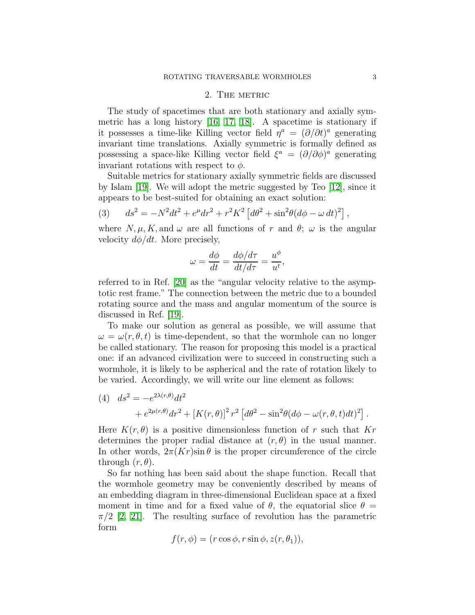# 2. THE METRIC

<span id="page-2-1"></span>The study of spacetimes that are both stationary and axially symmetric has a long history [\[16,](#page-16-15) [17,](#page-16-16) [18\]](#page-16-17). A spacetime is stationary if it possesses a time-like Killing vector field  $\eta^a = (\partial/\partial t)^a$  generating invariant time translations. Axially symmetric is formally defined as possessing a space-like Killing vector field  $\xi^a = (\partial/\partial \phi)^a$  generating invariant rotations with respect to  $\phi$ .

Suitable metrics for stationary axially symmetric fields are discussed by Islam [\[19\]](#page-16-18). We will adopt the metric suggested by Teo [\[12\]](#page-16-11), since it appears to be best-suited for obtaining an exact solution:

(3) 
$$
ds^{2} = -N^{2}dt^{2} + e^{\mu}dr^{2} + r^{2}K^{2} [d\theta^{2} + \sin^{2}\theta (d\phi - \omega dt)^{2}],
$$

where  $N, \mu, K$ , and  $\omega$  are all functions of r and  $\theta$ ;  $\omega$  is the angular velocity  $d\phi/dt$ . More precisely,

$$
\omega = \frac{d\phi}{dt} = \frac{d\phi/d\tau}{dt/d\tau} = \frac{u^{\phi}}{u^t},
$$

referred to in Ref. [\[20\]](#page-16-19) as the "angular velocity relative to the asymptotic rest frame." The connection between the metric due to a bounded rotating source and the mass and angular momentum of the source is discussed in Ref. [\[19\]](#page-16-18).

To make our solution as general as possible, we will assume that  $\omega = \omega(r, \theta, t)$  is time-dependent, so that the wormhole can no longer be called stationary. The reason for proposing this model is a practical one: if an advanced civilization were to succeed in constructing such a wormhole, it is likely to be aspherical and the rate of rotation likely to be varied. Accordingly, we will write our line element as follows:

<span id="page-2-0"></span>(4) 
$$
ds^{2} = -e^{2\lambda(r,\theta)}dt^{2} + e^{2\mu(r,\theta)}dr^{2} + [K(r,\theta)]^{2}r^{2} [d\theta^{2} - \sin^{2}\theta(d\phi - \omega(r,\theta,t)dt)^{2}].
$$

Here  $K(r, \theta)$  is a positive dimensionless function of r such that  $Kr$ determines the proper radial distance at  $(r, \theta)$  in the usual manner. In other words,  $2\pi (Kr)\sin\theta$  is the proper circumference of the circle through  $(r, \theta)$ .

So far nothing has been said about the shape function. Recall that the wormhole geometry may be conveniently described by means of an embedding diagram in three-dimensional Euclidean space at a fixed moment in time and for a fixed value of  $\theta$ , the equatorial slice  $\theta =$  $\pi/2$  [\[2,](#page-16-1) [21\]](#page-16-20). The resulting surface of revolution has the parametric form

$$
f(r, \phi) = (r \cos \phi, r \sin \phi, z(r, \theta_1)),
$$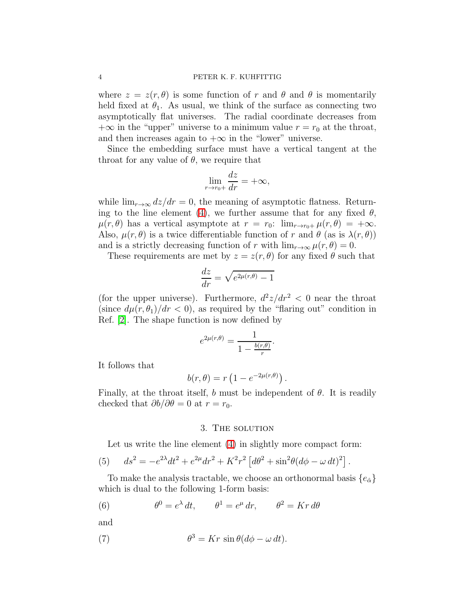where  $z = z(r, \theta)$  is some function of r and  $\theta$  and  $\theta$  is momentarily held fixed at  $\theta_1$ . As usual, we think of the surface as connecting two asymptotically flat universes. The radial coordinate decreases from  $+\infty$  in the "upper" universe to a minimum value  $r = r_0$  at the throat, and then increases again to  $+\infty$  in the "lower" universe.

Since the embedding surface must have a vertical tangent at the throat for any value of  $\theta$ , we require that

$$
\lim_{r \to r_0+} \frac{dz}{dr} = +\infty,
$$

while  $\lim_{r\to\infty} dz/dr = 0$ , the meaning of asymptotic flatness. Return-ing to the line element [\(4\)](#page-2-0), we further assume that for any fixed  $\theta$ ,  $\mu(r, \theta)$  has a vertical asymptote at  $r = r_0$ :  $\lim_{r \to r_0+} \mu(r, \theta) = +\infty$ . Also,  $\mu(r, \theta)$  is a twice differentiable function of r and  $\theta$  (as is  $\lambda(r, \theta)$ ) and is a strictly decreasing function of r with  $\lim_{r\to\infty}\mu(r,\theta)=0$ .

These requirements are met by  $z = z(r, \theta)$  for any fixed  $\theta$  such that

$$
\frac{dz}{dr} = \sqrt{e^{2\mu(r,\theta)} - 1}
$$

(for the upper universe). Furthermore,  $d^2z/dr^2 < 0$  near the throat (since  $d\mu(r, \theta_1)/dr < 0$ ), as required by the "flaring out" condition in Ref. [\[2\]](#page-16-1). The shape function is now defined by

$$
e^{2\mu(r,\theta)} = \frac{1}{1 - \frac{b(r,\theta)}{r}}.
$$

It follows that

$$
b(r,\theta) = r\left(1 - e^{-2\mu(r,\theta)}\right).
$$

Finally, at the throat itself, b must be independent of  $\theta$ . It is readily checked that  $\partial b/\partial \theta = 0$  at  $r = r_0$ .

#### <span id="page-3-0"></span>3. THE SOLUTION

Let us write the line element [\(4\)](#page-2-0) in slightly more compact form:

(5) 
$$
ds^{2} = -e^{2\lambda}dt^{2} + e^{2\mu}dr^{2} + K^{2}r^{2} \left[d\theta^{2} + \sin^{2}\theta(d\phi - \omega dt)^{2}\right].
$$

To make the analysis tractable, we choose an orthonormal basis  $\{e_{\hat{\alpha}}\}$ which is dual to the following 1-form basis:

(6) 
$$
\theta^0 = e^{\lambda} dt, \qquad \theta^1 = e^{\mu} dr, \qquad \theta^2 = Kr d\theta
$$

and

(7) 
$$
\theta^3 = Kr \sin \theta (d\phi - \omega dt).
$$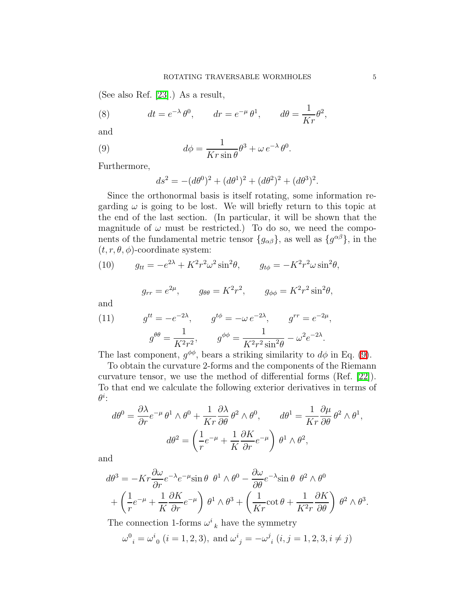(See also Ref. [\[23\]](#page-16-21).) As a result,

(8) 
$$
dt = e^{-\lambda} \theta^0, \qquad dr = e^{-\mu} \theta^1, \qquad d\theta = \frac{1}{Kr} \theta^2,
$$

<span id="page-4-0"></span>and

(9) 
$$
d\phi = \frac{1}{Kr\sin\theta}\theta^3 + \omega e^{-\lambda}\theta^0.
$$

Furthermore,

$$
ds^{2} = -(d\theta^{0})^{2} + (d\theta^{1})^{2} + (d\theta^{2})^{2} + (d\theta^{3})^{2}.
$$

Since the orthonormal basis is itself rotating, some information regarding  $\omega$  is going to be lost. We will briefly return to this topic at the end of the last section. (In particular, it will be shown that the magnitude of  $\omega$  must be restricted.) To do so, we need the components of the fundamental metric tensor  ${g_{\alpha\beta}}$ , as well as  ${g^{\alpha\beta}}$ , in the  $(t, r, \theta, \phi)$ -coordinate system:

(10) 
$$
g_{tt} = -e^{2\lambda} + K^2 r^2 \omega^2 \sin^2 \theta, \qquad g_{t\phi} = -K^2 r^2 \omega \sin^2 \theta,
$$

<span id="page-4-1"></span>
$$
g_{rr} = e^{2\mu}
$$
,  $g_{\theta\theta} = K^2 r^2$ ,  $g_{\phi\phi} = K^2 r^2 \sin^2 \theta$ ,

<span id="page-4-2"></span>and

(11) 
$$
g^{tt} = -e^{-2\lambda}, \qquad g^{t\phi} = -\omega e^{-2\lambda}, \qquad g^{rr} = e^{-2\mu},
$$

$$
g^{\theta\theta} = \frac{1}{K^2 r^2}, \qquad g^{\phi\phi} = \frac{1}{K^2 r^2 \sin^2 \theta} - \omega^2 e^{-2\lambda}.
$$

The last component,  $g^{\phi\phi}$ , bears a striking similarity to  $d\phi$  in Eq. [\(9\)](#page-4-0).

To obtain the curvature 2-forms and the components of the Riemann curvature tensor, we use the method of differential forms (Ref. [\[22\]](#page-16-22)). To that end we calculate the following exterior derivatives in terms of  $\theta^i$ :

$$
d\theta^{0} = \frac{\partial \lambda}{\partial r} e^{-\mu} \theta^{1} \wedge \theta^{0} + \frac{1}{Kr} \frac{\partial \lambda}{\partial \theta} \theta^{2} \wedge \theta^{0}, \qquad d\theta^{1} = \frac{1}{Kr} \frac{\partial \mu}{\partial \theta} \theta^{2} \wedge \theta^{1},
$$

$$
d\theta^{2} = \left(\frac{1}{r} e^{-\mu} + \frac{1}{K} \frac{\partial K}{\partial r} e^{-\mu}\right) \theta^{1} \wedge \theta^{2},
$$

and

$$
d\theta^3 = -Kr\frac{\partial\omega}{\partial r}e^{-\lambda}e^{-\mu}\sin\theta \ \theta^1 \wedge \theta^0 - \frac{\partial\omega}{\partial\theta}e^{-\lambda}\sin\theta \ \theta^2 \wedge \theta^0
$$
  
+  $\left(\frac{1}{r}e^{-\mu} + \frac{1}{K}\frac{\partial K}{\partial r}e^{-\mu}\right)\theta^1 \wedge \theta^3 + \left(\frac{1}{Kr}\cot\theta + \frac{1}{K^2r}\frac{\partial K}{\partial\theta}\right)\theta^2 \wedge \theta^3.$ 

The connection 1-forms  $\omega^i{}_k$  have the symmetry

$$
\omega^0{}_i = \omega^i{}_0 \ (i = 1, 2, 3), \text{ and } \omega^i{}_j = -\omega^j{}_i \ (i, j = 1, 2, 3, i \neq j)
$$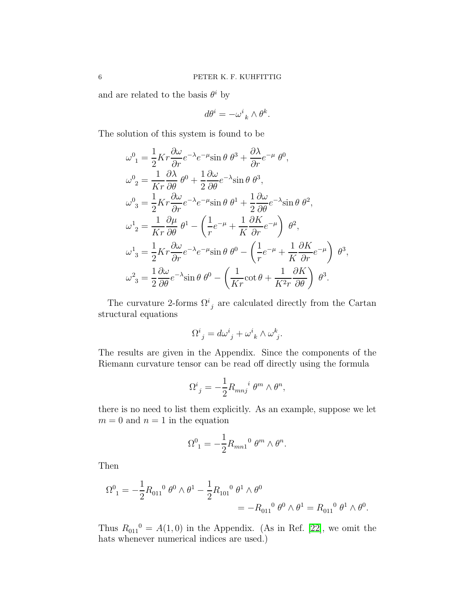and are related to the basis  $\theta^i$  by

$$
d\theta^i = -\omega^i{}_k \wedge \theta^k.
$$

The solution of this system is found to be

$$
\omega_1^0 = \frac{1}{2} K r \frac{\partial \omega}{\partial r} e^{-\lambda} e^{-\mu} \sin \theta \, \theta^3 + \frac{\partial \lambda}{\partial r} e^{-\mu} \, \theta^0,
$$
  
\n
$$
\omega_2^0 = \frac{1}{K r} \frac{\partial \lambda}{\partial \theta} \, \theta^0 + \frac{1}{2} \frac{\partial \omega}{\partial \theta} e^{-\lambda} \sin \theta \, \theta^3,
$$
  
\n
$$
\omega_3^0 = \frac{1}{2} K r \frac{\partial \omega}{\partial r} e^{-\lambda} e^{-\mu} \sin \theta \, \theta^1 + \frac{1}{2} \frac{\partial \omega}{\partial \theta} e^{-\lambda} \sin \theta \, \theta^2,
$$
  
\n
$$
\omega_2^1 = \frac{1}{K r} \frac{\partial \mu}{\partial \theta} \, \theta^1 - \left( \frac{1}{r} e^{-\mu} + \frac{1}{K} \frac{\partial K}{\partial r} e^{-\mu} \right) \, \theta^2,
$$
  
\n
$$
\omega_3^1 = \frac{1}{2} K r \frac{\partial \omega}{\partial r} e^{-\lambda} e^{-\mu} \sin \theta \, \theta^0 - \left( \frac{1}{r} e^{-\mu} + \frac{1}{K} \frac{\partial K}{\partial r} e^{-\mu} \right) \, \theta^3,
$$
  
\n
$$
\omega_3^2 = \frac{1}{2} \frac{\partial \omega}{\partial \theta} e^{-\lambda} \sin \theta \, \theta^0 - \left( \frac{1}{K r} \cot \theta + \frac{1}{K^2 r} \frac{\partial K}{\partial \theta} \right) \, \theta^3.
$$

The curvature 2-forms  $\Omega^{i}{}_{j}$  are calculated directly from the Cartan structural equations

$$
\Omega^i{}_j = d\omega^i{}_j + \omega^i{}_k \wedge \omega^k{}_j.
$$

The results are given in the Appendix. Since the components of the Riemann curvature tensor can be read off directly using the formula

$$
\Omega^i_{\ j} = -\frac{1}{2} R_{m n j}^{\ \ i} \theta^m \wedge \theta^n,
$$

there is no need to list them explicitly. As an example, suppose we let  $m = 0$  and  $n = 1$  in the equation

$$
\Omega^0_{\ 1} = -\frac{1}{2} R_{mn1}^{\quad 0} \theta^m \wedge \theta^n.
$$

Then

$$
\begin{split} \Omega^0{}_1&=-\frac{1}{2}{R_{011}}^0\;\theta^0\wedge\theta^1-\frac{1}{2}{R_{101}}^0\;\theta^1\wedge\theta^0\\ &=-{R_{011}}^0\;\theta^0\wedge\theta^1={R_{011}}^0\;\theta^1\wedge\theta^0. \end{split}
$$

Thus  $R_{011}^0 = A(1,0)$  in the Appendix. (As in Ref. [\[22\]](#page-16-22), we omit the hats whenever numerical indices are used.)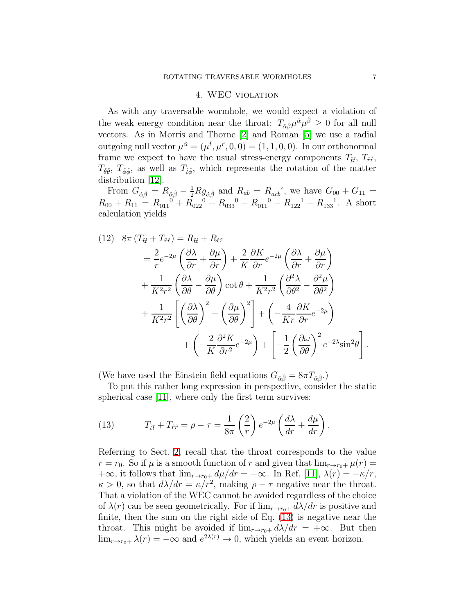#### 4. WEC violation

As with any traversable wormhole, we would expect a violation of the weak energy condition near the throat:  $T_{\hat{\alpha}\hat{\beta}}\mu^{\hat{\alpha}}\mu^{\hat{\beta}} \geq 0$  for all null vectors. As in Morris and Thorne [\[2\]](#page-16-1) and Roman [\[5\]](#page-16-4) we use a radial outgoing null vector  $\mu^{\hat{\alpha}} = (\mu^{\hat{t}}, \mu^{\hat{r}}, 0, 0) = (1, 1, 0, 0)$ . In our orthonormal frame we expect to have the usual stress-energy components  $T_{\hat{t}\hat{t}}, T_{\hat{r}\hat{r}},$  $T_{\hat{\theta}\hat{\theta}}, T_{\hat{\phi}\hat{\phi}},$  as well as  $T_{\hat{t}\hat{\phi}},$  which represents the rotation of the matter distribution [\[12\]](#page-16-11).

From  $G_{\hat{\alpha}\hat{\beta}} = R_{\hat{\alpha}\hat{\beta}} - \frac{1}{2} R g_{\hat{\alpha}\hat{\beta}}$  and  $R_{ab} = R_{acb}^c$ , we have  $G_{00} + G_{11} =$  $R_{00} + R_{11} = R_{011}^{0} + R_{022}^{0} + R_{033}^{0} - R_{011}^{0} - R_{122}^{1} - R_{133}^{1}$ . A short calculation yields

<span id="page-6-1"></span>(12) 
$$
8\pi (T_{\hat{t}\hat{t}} + T_{\hat{r}\hat{r}}) = R_{\hat{t}\hat{t}} + R_{\hat{r}\hat{r}}
$$
  
\n
$$
= \frac{2}{r} e^{-2\mu} \left( \frac{\partial \lambda}{\partial r} + \frac{\partial \mu}{\partial r} \right) + \frac{2}{K} \frac{\partial K}{\partial r} e^{-2\mu} \left( \frac{\partial \lambda}{\partial r} + \frac{\partial \mu}{\partial r} \right)
$$
  
\n
$$
+ \frac{1}{K^2 r^2} \left( \frac{\partial \lambda}{\partial \theta} - \frac{\partial \mu}{\partial \theta} \right) \cot \theta + \frac{1}{K^2 r^2} \left( \frac{\partial^2 \lambda}{\partial \theta^2} - \frac{\partial^2 \mu}{\partial \theta^2} \right)
$$
  
\n
$$
+ \frac{1}{K^2 r^2} \left[ \left( \frac{\partial \lambda}{\partial \theta} \right)^2 - \left( \frac{\partial \mu}{\partial \theta} \right)^2 \right] + \left( -\frac{4}{Kr} \frac{\partial K}{\partial r} e^{-2\mu} \right)
$$
  
\n
$$
+ \left( -\frac{2}{K} \frac{\partial^2 K}{\partial r^2} e^{-2\mu} \right) + \left[ -\frac{1}{2} \left( \frac{\partial \omega}{\partial \theta} \right)^2 e^{-2\lambda} \sin^2 \theta \right].
$$

(We have used the Einstein field equations  $G_{\hat{\alpha}\hat{\beta}} = 8\pi T_{\hat{\alpha}\hat{\beta}}$ .)

<span id="page-6-0"></span>To put this rather long expression in perspective, consider the static spherical case [\[11\]](#page-16-10), where only the first term survives:

(13) 
$$
T_{\hat{t}\hat{t}} + T_{\hat{r}\hat{r}} = \rho - \tau = \frac{1}{8\pi} \left(\frac{2}{r}\right) e^{-2\mu} \left(\frac{d\lambda}{dr} + \frac{d\mu}{dr}\right).
$$

Referring to Sect. [2,](#page-2-1) recall that the throat corresponds to the value  $r = r_0$ . So if  $\mu$  is a smooth function of r and given that  $\lim_{r \to r_0+} \mu(r) =$  $+\infty$ , it follows that  $\lim_{r\to r_0+} d\mu/dr = -\infty$ . In Ref. [\[11\]](#page-16-10),  $\lambda(r) = -\kappa/r$ ,  $\kappa > 0$ , so that  $d\lambda/dr = \kappa/r^2$ , making  $\rho - \tau$  negative near the throat. That a violation of the WEC cannot be avoided regardless of the choice of  $\lambda(r)$  can be seen geometrically. For if  $\lim_{r\to r_0+} d\lambda/dr$  is positive and finite, then the sum on the right side of Eq. [\(13\)](#page-6-0) is negative near the throat. This might be avoided if  $\lim_{r\to r_0+} d\lambda/dr = +\infty$ . But then  $\lim_{r \to r_0+} \lambda(r) = -\infty$  and  $e^{2\lambda(r)} \to 0$ , which yields an event horizon.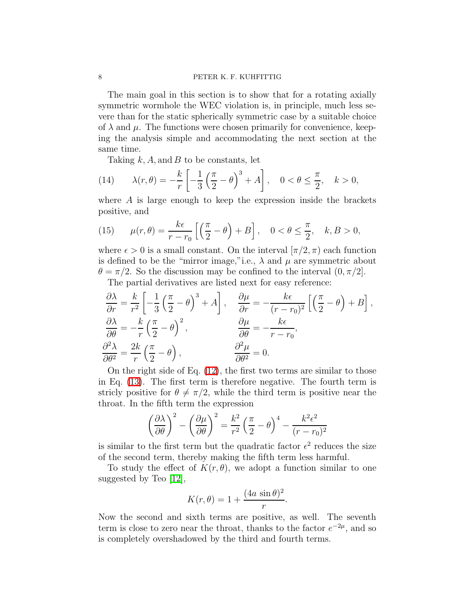The main goal in this section is to show that for a rotating axially symmetric wormhole the WEC violation is, in principle, much less severe than for the static spherically symmetric case by a suitable choice of  $\lambda$  and  $\mu$ . The functions were chosen primarily for convenience, keeping the analysis simple and accommodating the next section at the same time.

<span id="page-7-0"></span>Taking  $k, A$ , and  $B$  to be constants, let

(14) 
$$
\lambda(r,\theta) = -\frac{k}{r} \left[ -\frac{1}{3} \left( \frac{\pi}{2} - \theta \right)^3 + A \right], \quad 0 < \theta \le \frac{\pi}{2}, \quad k > 0,
$$

<span id="page-7-1"></span>where  $A$  is large enough to keep the expression inside the brackets positive, and

(15) 
$$
\mu(r,\theta) = \frac{k\epsilon}{r-r_0} \left[ \left( \frac{\pi}{2} - \theta \right) + B \right], \quad 0 < \theta \le \frac{\pi}{2}, \quad k, B > 0,
$$

where  $\epsilon > 0$  is a small constant. On the interval  $[\pi/2, \pi)$  each function is defined to be the "mirror image," i.e.,  $\lambda$  and  $\mu$  are symmetric about  $\theta = \pi/2$ . So the discussion may be confined to the interval  $(0, \pi/2]$ .

The partial derivatives are listed next for easy reference:

$$
\frac{\partial \lambda}{\partial r} = \frac{k}{r^2} \left[ -\frac{1}{3} \left( \frac{\pi}{2} - \theta \right)^3 + A \right], \quad \frac{\partial \mu}{\partial r} = -\frac{k\epsilon}{(r - r_0)^2} \left[ \left( \frac{\pi}{2} - \theta \right) + B \right],
$$
  

$$
\frac{\partial \lambda}{\partial \theta} = -\frac{k}{r} \left( \frac{\pi}{2} - \theta \right)^2,
$$

$$
\frac{\partial \mu}{\partial \theta} = -\frac{k\epsilon}{r - r_0},
$$
  

$$
\frac{\partial^2 \lambda}{\partial \theta^2} = \frac{2k}{r} \left( \frac{\pi}{2} - \theta \right),
$$

$$
\frac{\partial^2 \mu}{\partial \theta^2} = 0.
$$

On the right side of Eq. [\(12\)](#page-6-1), the first two terms are similar to those in Eq. [\(13\)](#page-6-0). The first term is therefore negative. The fourth term is stricly positive for  $\theta \neq \pi/2$ , while the third term is positive near the throat. In the fifth term the expression

$$
\left(\frac{\partial \lambda}{\partial \theta}\right)^2 - \left(\frac{\partial \mu}{\partial \theta}\right)^2 = \frac{k^2}{r^2} \left(\frac{\pi}{2} - \theta\right)^4 - \frac{k^2 \epsilon^2}{(r - r_0)^2}
$$

is similar to the first term but the quadratic factor  $\epsilon^2$  reduces the size of the second term, thereby making the fifth term less harmful.

To study the effect of  $K(r, \theta)$ , we adopt a function similar to one suggested by Teo [\[12\]](#page-16-11),

$$
K(r,\theta) = 1 + \frac{(4a\,\sin\theta)^2}{r}.
$$

Now the second and sixth terms are positive, as well. The seventh term is close to zero near the throat, thanks to the factor  $e^{-2\mu}$ , and so is completely overshadowed by the third and fourth terms.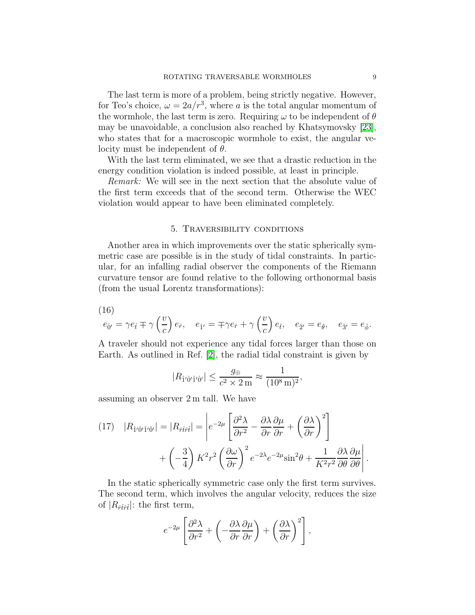The last term is more of a problem, being strictly negative. However, for Teo's choice,  $\omega = 2a/r^3$ , where a is the total angular momentum of the wormhole, the last term is zero. Requiring  $\omega$  to be independent of  $\theta$ may be unavoidable, a conclusion also reached by Khatsymovsky [\[23\]](#page-16-21), who states that for a macroscopic wormhole to exist, the angular velocity must be independent of  $\theta$ .

With the last term eliminated, we see that a drastic reduction in the energy condition violation is indeed possible, at least in principle.

Remark: We will see in the next section that the absolute value of the first term exceeds that of the second term. Otherwise the WEC violation would appear to have been eliminated completely.

#### 5. Traversibility conditions

Another area in which improvements over the static spherically symmetric case are possible is in the study of tidal constraints. In particular, for an infalling radial observer the components of the Riemann curvature tensor are found relative to the following orthonormal basis (from the usual Lorentz transformations):

<span id="page-8-0"></span>(16)

$$
e_{\hat{0}'} = \gamma e_{\hat{t}} \mp \gamma \left(\frac{v}{c}\right) e_{\hat{r}}, \quad e_{\hat{1}'} = \mp \gamma e_{\hat{r}} + \gamma \left(\frac{v}{c}\right) e_{\hat{t}}, \quad e_{\hat{2}'} = e_{\hat{\theta}}, \quad e_{\hat{3}'} = e_{\hat{\phi}}.
$$

A traveler should not experience any tidal forces larger than those on Earth. As outlined in Ref. [\[2\]](#page-16-1), the radial tidal constraint is given by

$$
|R_{\hat{1}'\hat{0}'\hat{1}'\hat{0}'}| \le \frac{g_{\oplus}}{c^2 \times 2 \,\mathrm{m}} \approx \frac{1}{(10^8 \,\mathrm{m})^2},
$$

assuming an observer 2 m tall. We have

(17) 
$$
|R_{\hat{1}'\hat{0}'\hat{1}'\hat{0}'}| = |R_{\hat{r}\hat{t}\hat{r}\hat{t}}| = \left| e^{-2\mu} \left[ \frac{\partial^2 \lambda}{\partial r^2} - \frac{\partial \lambda}{\partial r} \frac{\partial \mu}{\partial r} + \left( \frac{\partial \lambda}{\partial r} \right)^2 \right] + \left( -\frac{3}{4} \right) K^2 r^2 \left( \frac{\partial \omega}{\partial r} \right)^2 e^{-2\lambda} e^{-2\mu} \sin^2 \theta + \frac{1}{K^2 r^2} \frac{\partial \lambda}{\partial \theta} \frac{\partial \mu}{\partial \theta} \right|
$$

In the static spherically symmetric case only the first term survives. The second term, which involves the angular velocity, reduces the size of  $|R_{\hat{r}\hat{t}\hat{r}\hat{t}}|$ : the first term,

$$
e^{-2\mu} \left[ \frac{\partial^2 \lambda}{\partial r^2} + \left( -\frac{\partial \lambda}{\partial r} \frac{\partial \mu}{\partial r} \right) + \left( \frac{\partial \lambda}{\partial r} \right)^2 \right],
$$

.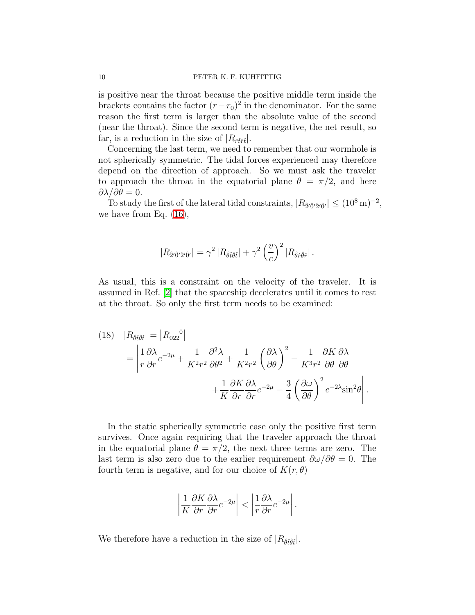is positive near the throat because the positive middle term inside the brackets contains the factor  $(r - r_0)^2$  in the denominator. For the same reason the first term is larger than the absolute value of the second (near the throat). Since the second term is negative, the net result, so far, is a reduction in the size of  $|R_{\hat{r}\hat{t}\hat{r}\hat{t}}|$ .

Concerning the last term, we need to remember that our wormhole is not spherically symmetric. The tidal forces experienced may therefore depend on the direction of approach. So we must ask the traveler to approach the throat in the equatorial plane  $\theta = \pi/2$ , and here  $\partial \lambda / \partial \theta = 0.$ 

To study the first of the lateral tidal constraints,  $|R_{\hat{2}'\hat{0}'\hat{2}'\hat{0}'}| \leq (10^8 \,\mathrm{m})^{-2}$ , we have from Eq. [\(16\)](#page-8-0),

$$
|R_{\hat{2}'\hat{0}'\hat{2}'\hat{0}'}| = \gamma^2 |R_{\hat{\theta}\hat{t}\hat{\theta}\hat{t}}| + \gamma^2 \left(\frac{v}{c}\right)^2 |R_{\hat{\theta}\hat{r}\hat{\theta}\hat{r}}|.
$$

As usual, this is a constraint on the velocity of the traveler. It is assumed in Ref. [\[2\]](#page-16-1) that the spaceship decelerates until it comes to rest at the throat. So only the first term needs to be examined:

(18) 
$$
|R_{\hat{\theta}\hat{t}\hat{\theta}\hat{t}}| = |R_{022}^0|
$$
  
= 
$$
\left| \frac{1}{r} \frac{\partial \lambda}{\partial r} e^{-2\mu} + \frac{1}{K^2 r^2} \frac{\partial^2 \lambda}{\partial \theta^2} + \frac{1}{K^2 r^2} \left( \frac{\partial \lambda}{\partial \theta} \right)^2 - \frac{1}{K^3 r^2} \frac{\partial K}{\partial \theta} \frac{\partial \lambda}{\partial \theta} + \frac{1}{K} \frac{\partial K}{\partial r} \frac{\partial \lambda}{\partial r} e^{-2\mu} - \frac{3}{4} \left( \frac{\partial \omega}{\partial \theta} \right)^2 e^{-2\lambda} \sin^2 \theta \right|.
$$

In the static spherically symmetric case only the positive first term survives. Once again requiring that the traveler approach the throat in the equatorial plane  $\theta = \pi/2$ , the next three terms are zero. The last term is also zero due to the earlier requirement  $\partial \omega / \partial \theta = 0$ . The fourth term is negative, and for our choice of  $K(r, \theta)$ 

$$
\left|\frac{1}{K}\frac{\partial K}{\partial r}\frac{\partial \lambda}{\partial r}e^{-2\mu}\right| < \left|\frac{1}{r}\frac{\partial \lambda}{\partial r}e^{-2\mu}\right|.
$$

We therefore have a reduction in the size of  $|R_{\hat{\theta} \hat{t} \hat{\theta} \hat{t}}|$ .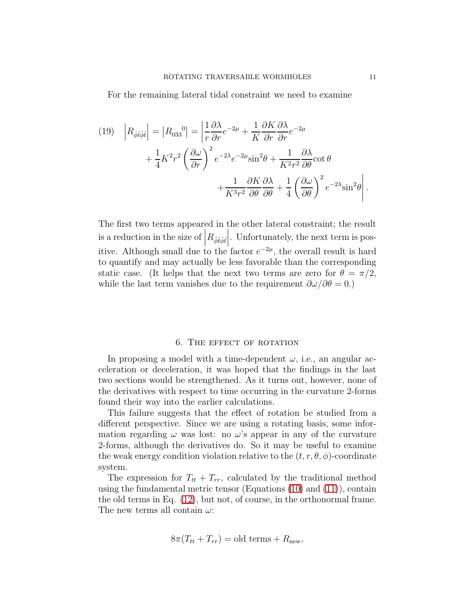For the remaining lateral tidal constraint we need to examine

(19) 
$$
\left| R_{\hat{\phi}\hat{t}\hat{\phi}\hat{t}} \right| = \left| R_{033}{}^{0} \right| = \left| \frac{1}{r} \frac{\partial \lambda}{\partial r} e^{-2\mu} + \frac{1}{K} \frac{\partial K}{\partial r} \frac{\partial \lambda}{\partial r} e^{-2\mu} + \frac{1}{4} K^{2} r^{2} \left( \frac{\partial \omega}{\partial r} \right)^{2} e^{-2\lambda} e^{-2\mu} \sin^{2} \theta + \frac{1}{K^{2} r^{2}} \frac{\partial \lambda}{\partial \theta} \cot \theta + \frac{1}{K^{3} r^{2}} \frac{\partial K}{\partial \theta} \frac{\partial \lambda}{\partial \theta} + \frac{1}{4} \left( \frac{\partial \omega}{\partial \theta} \right)^{2} e^{-2\lambda} \sin^{2} \theta \right|.
$$

The first two terms appeared in the other lateral constraint; the result is a reduction in the size of  $|R_{\hat{\phi}\hat{t}\hat{\phi}\hat{t}}|$ . Unfortunately, the next term is posļ itive. Although small due to the factor  $e^{-2\mu}$ , the overall result is hard to quantify and may actually be less favorable than the corresponding static case. (It helps that the next two terms are zero for  $\theta = \pi/2$ , while the last term vanishes due to the requirement  $\partial \omega / \partial \theta = 0.$ )

#### 6. The effect of rotation

In proposing a model with a time-dependent  $\omega$ , i.e., an angular acceleration or deceleration, it was hoped that the findings in the last two sections would be strengthened. As it turns out, however, none of the derivatives with respect to time occurring in the curvature 2-forms found their way into the earlier calculations.

This failure suggests that the effect of rotation be studied from a different perspective. Since we are using a rotating basis, some information regarding  $\omega$  was lost: no  $\omega$ 's appear in any of the curvature 2-forms, although the derivatives do. So it may be useful to examine the weak energy condition violation relative to the  $(t, r, \theta, \phi)$ -coordinate system.

The expression for  $T_{tt} + T_{rr}$ , calculated by the traditional method using the fundamental metric tensor (Equations [\(10\)](#page-4-1) and [\(11\)](#page-4-2)), contain the old terms in Eq. [\(12\)](#page-6-1), but not, of course, in the orthonormal frame. The new terms all contain  $\omega$ :

$$
8\pi (T_{tt} + T_{rr}) = old terms + Rnew,
$$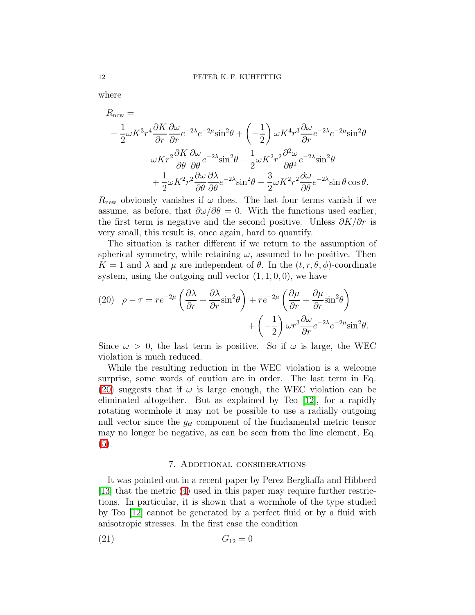where

$$
R_{\text{new}} =
$$
  
\n
$$
- \frac{1}{2} \omega K^3 r^4 \frac{\partial K}{\partial r} \frac{\partial \omega}{\partial r} e^{-2\lambda} e^{-2\mu} \sin^2 \theta + \left(-\frac{1}{2}\right) \omega K^4 r^3 \frac{\partial \omega}{\partial r} e^{-2\lambda} e^{-2\mu} \sin^2 \theta
$$
  
\n
$$
- \omega K r^2 \frac{\partial K}{\partial \theta} \frac{\partial \omega}{\partial \theta} e^{-2\lambda} \sin^2 \theta - \frac{1}{2} \omega K^2 r^2 \frac{\partial^2 \omega}{\partial \theta^2} e^{-2\lambda} \sin^2 \theta
$$
  
\n
$$
+ \frac{1}{2} \omega K^2 r^2 \frac{\partial \omega}{\partial \theta} \frac{\partial \lambda}{\partial \theta} e^{-2\lambda} \sin^2 \theta - \frac{3}{2} \omega K^2 r^2 \frac{\partial \omega}{\partial \theta} e^{-2\lambda} \sin \theta \cos \theta.
$$

 $R_{\text{new}}$  obviously vanishes if  $\omega$  does. The last four terms vanish if we assume, as before, that  $\partial \omega / \partial \theta = 0$ . With the functions used earlier, the first term is negative and the second positive. Unless  $\partial K/\partial r$  is very small, this result is, once again, hard to quantify.

The situation is rather different if we return to the assumption of spherical symmetry, while retaining  $\omega$ , assumed to be positive. Then  $K = 1$  and  $\lambda$  and  $\mu$  are independent of  $\theta$ . In the  $(t, r, \theta, \phi)$ -coordinate system, using the outgoing null vector  $(1, 1, 0, 0)$ , we have

<span id="page-11-1"></span>(20) 
$$
\rho - \tau = re^{-2\mu} \left( \frac{\partial \lambda}{\partial r} + \frac{\partial \lambda}{\partial r} \sin^2 \theta \right) + re^{-2\mu} \left( \frac{\partial \mu}{\partial r} + \frac{\partial \mu}{\partial r} \sin^2 \theta \right) + \left( -\frac{1}{2} \right) \omega r^3 \frac{\partial \omega}{\partial r} e^{-2\lambda} e^{-2\mu} \sin^2 \theta.
$$

Since  $\omega > 0$ , the last term is positive. So if  $\omega$  is large, the WEC violation is much reduced.

While the resulting reduction in the WEC violation is a welcome surprise, some words of caution are in order. The last term in Eq. [\(20\)](#page-11-1) suggests that if  $\omega$  is large enough, the WEC violation can be eliminated altogether. But as explained by Teo [\[12\]](#page-16-11), for a rapidly rotating wormhole it may not be possible to use a radially outgoing null vector since the  $g_{tt}$  component of the fundamental metric tensor may no longer be negative, as can be seen from the line element, Eq. [\(5\)](#page-3-0).

#### <span id="page-11-2"></span>7. Additional considerations

<span id="page-11-0"></span>It was pointed out in a recent paper by Perez Bergliaffa and Hibberd [\[13\]](#page-16-12) that the metric [\(4\)](#page-2-0) used in this paper may require further restrictions. In particular, it is shown that a wormhole of the type studied by Teo [\[12\]](#page-16-11) cannot be generated by a perfect fluid or by a fluid with anisotropic stresses. In the first case the condition

$$
(21) \tG_{12} = 0
$$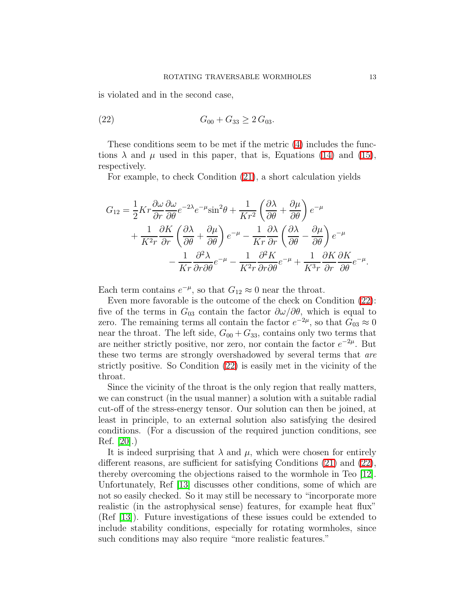<span id="page-12-0"></span>is violated and in the second case,

$$
(22) \t G_{00} + G_{33} \ge 2 G_{03}.
$$

These conditions seem to be met if the metric [\(4\)](#page-2-0) includes the functions  $\lambda$  and  $\mu$  used in this paper, that is, Equations [\(14\)](#page-7-0) and [\(15\)](#page-7-1), respectively.

For example, to check Condition [\(21\)](#page-11-2), a short calculation yields

$$
G_{12} = \frac{1}{2} K r \frac{\partial \omega}{\partial r} \frac{\partial \omega}{\partial \theta} e^{-2\lambda} e^{-\mu} \sin^2 \theta + \frac{1}{Kr^2} \left( \frac{\partial \lambda}{\partial \theta} + \frac{\partial \mu}{\partial \theta} \right) e^{-\mu} + \frac{1}{K^2 r} \frac{\partial K}{\partial r} \left( \frac{\partial \lambda}{\partial \theta} + \frac{\partial \mu}{\partial \theta} \right) e^{-\mu} - \frac{1}{Kr} \frac{\partial \lambda}{\partial r} \left( \frac{\partial \lambda}{\partial \theta} - \frac{\partial \mu}{\partial \theta} \right) e^{-\mu} - \frac{1}{Kr} \frac{\partial^2 \lambda}{\partial r \partial \theta} e^{-\mu} - \frac{1}{K^2 r} \frac{\partial^2 K}{\partial r \partial \theta} e^{-\mu} + \frac{1}{K^3 r} \frac{\partial K}{\partial r} \frac{\partial K}{\partial \theta} e^{-\mu}.
$$

Each term contains  $e^{-\mu}$ , so that  $G_{12} \approx 0$  near the throat.

Even more favorable is the outcome of the check on Condition [\(22\)](#page-12-0): five of the terms in  $G_{03}$  contain the factor  $\partial \omega / \partial \theta$ , which is equal to zero. The remaining terms all contain the factor  $e^{-2\mu}$ , so that  $G_{03} \approx 0$ near the throat. The left side,  $G_{00} + G_{33}$ , contains only two terms that are neither strictly positive, nor zero, nor contain the factor  $e^{-2\mu}$ . But these two terms are strongly overshadowed by several terms that are strictly positive. So Condition [\(22\)](#page-12-0) is easily met in the vicinity of the throat.

Since the vicinity of the throat is the only region that really matters, we can construct (in the usual manner) a solution with a suitable radial cut-off of the stress-energy tensor. Our solution can then be joined, at least in principle, to an external solution also satisfying the desired conditions. (For a discussion of the required junction conditions, see Ref. [\[20\]](#page-16-19).)

It is indeed surprising that  $\lambda$  and  $\mu$ , which were chosen for entirely different reasons, are sufficient for satisfying Conditions [\(21\)](#page-11-2) and [\(22\)](#page-12-0), thereby overcoming the objections raised to the wormhole in Teo [\[12\]](#page-16-11). Unfortunately, Ref [\[13\]](#page-16-12) discusses other conditions, some of which are not so easily checked. So it may still be necessary to "incorporate more realistic (in the astrophysical sense) features, for example heat flux" (Ref [\[13\]](#page-16-12)). Future investigations of these issues could be extended to include stability conditions, especially for rotating wormholes, since such conditions may also require "more realistic features."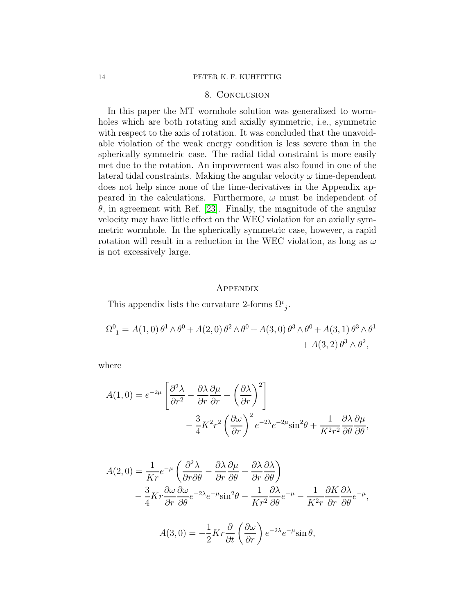# 8. Conclusion

In this paper the MT wormhole solution was generalized to wormholes which are both rotating and axially symmetric, i.e., symmetric with respect to the axis of rotation. It was concluded that the unavoidable violation of the weak energy condition is less severe than in the spherically symmetric case. The radial tidal constraint is more easily met due to the rotation. An improvement was also found in one of the lateral tidal constraints. Making the angular velocity  $\omega$  time-dependent does not help since none of the time-derivatives in the Appendix appeared in the calculations. Furthermore,  $\omega$  must be independent of  $\theta$ , in agreement with Ref. [\[23\]](#page-16-21). Finally, the magnitude of the angular velocity may have little effect on the WEC violation for an axially symmetric wormhole. In the spherically symmetric case, however, a rapid rotation will result in a reduction in the WEC violation, as long as  $\omega$ is not excessively large.

### **APPENDIX**

This appendix lists the curvature 2-forms  $\Omega^{i}_{j}$ .

$$
\Omega^{0}_{1} = A(1,0)\,\theta^{1}\wedge\theta^{0} + A(2,0)\,\theta^{2}\wedge\theta^{0} + A(3,0)\,\theta^{3}\wedge\theta^{0} + A(3,1)\,\theta^{3}\wedge\theta^{1} + A(3,2)\,\theta^{3}\wedge\theta^{2},
$$

where

$$
A(1,0) = e^{-2\mu} \left[ \frac{\partial^2 \lambda}{\partial r^2} - \frac{\partial \lambda}{\partial r} \frac{\partial \mu}{\partial r} + \left( \frac{\partial \lambda}{\partial r} \right)^2 \right] - \frac{3}{4} K^2 r^2 \left( \frac{\partial \omega}{\partial r} \right)^2 e^{-2\lambda} e^{-2\mu} \sin^2 \theta + \frac{1}{K^2 r^2} \frac{\partial \lambda}{\partial \theta} \frac{\partial \mu}{\partial \theta},
$$

$$
A(2,0) = \frac{1}{Kr}e^{-\mu} \left( \frac{\partial^2 \lambda}{\partial r \partial \theta} - \frac{\partial \lambda}{\partial r} \frac{\partial \mu}{\partial \theta} + \frac{\partial \lambda}{\partial r} \frac{\partial \lambda}{\partial \theta} \right)
$$
  
 
$$
- \frac{3}{4}Kr \frac{\partial \omega}{\partial r} \frac{\partial \omega}{\partial \theta} e^{-2\lambda} e^{-\mu} \sin^2 \theta - \frac{1}{Kr^2} \frac{\partial \lambda}{\partial \theta} e^{-\mu} - \frac{1}{K^2r} \frac{\partial K}{\partial r} \frac{\partial \lambda}{\partial \theta} e^{-\mu},
$$

$$
A(3,0) = -\frac{1}{2}Kr\frac{\partial}{\partial t}\left(\frac{\partial \omega}{\partial r}\right)e^{-2\lambda}e^{-\mu}\sin\theta,
$$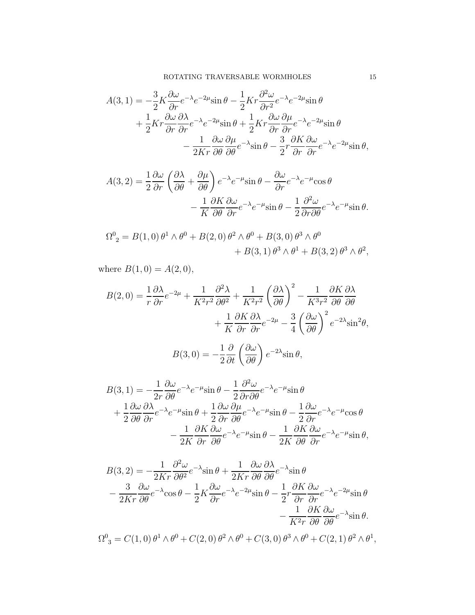$$
A(3,1) = -\frac{3}{2}K\frac{\partial\omega}{\partial r}e^{-\lambda}e^{-2\mu}\sin\theta - \frac{1}{2}Kr\frac{\partial^2\omega}{\partial r^2}e^{-\lambda}e^{-2\mu}\sin\theta + \frac{1}{2}Kr\frac{\partial\omega}{\partial r}\frac{\partial\lambda}{\partial r}e^{-\lambda}e^{-2\mu}\sin\theta + \frac{1}{2}Kr\frac{\partial\omega}{\partial r}\frac{\partial\mu}{\partial r}e^{-\lambda}e^{-2\mu}\sin\theta - \frac{1}{2Kr}\frac{\partial\omega}{\partial\theta}\frac{\partial\mu}{\partial\theta}e^{-\lambda}\sin\theta - \frac{3}{2}r\frac{\partial K}{\partial r}\frac{\partial\omega}{\partial r}e^{-\lambda}e^{-2\mu}\sin\theta,
$$

$$
A(3,2) = \frac{1}{2} \frac{\partial \omega}{\partial r} \left( \frac{\partial \lambda}{\partial \theta} + \frac{\partial \mu}{\partial \theta} \right) e^{-\lambda} e^{-\mu} \sin \theta - \frac{\partial \omega}{\partial r} e^{-\lambda} e^{-\mu} \cos \theta - \frac{1}{K} \frac{\partial K}{\partial \theta} \frac{\partial \omega}{\partial r} e^{-\lambda} e^{-\mu} \sin \theta - \frac{1}{2} \frac{\partial^2 \omega}{\partial r \partial \theta} e^{-\lambda} e^{-\mu} \sin \theta.
$$

$$
\Omega^0{}_2 = B(1,0)\,\theta^1 \wedge \theta^0 + B(2,0)\,\theta^2 \wedge \theta^0 + B(3,0)\,\theta^3 \wedge \theta^0 \n+ B(3,1)\,\theta^3 \wedge \theta^1 + B(3,2)\,\theta^3 \wedge \theta^2,
$$

where  $B(1, 0) = A(2, 0),$ 

$$
B(2,0) = \frac{1}{r} \frac{\partial \lambda}{\partial r} e^{-2\mu} + \frac{1}{K^2 r^2} \frac{\partial^2 \lambda}{\partial \theta^2} + \frac{1}{K^2 r^2} \left(\frac{\partial \lambda}{\partial \theta}\right)^2 - \frac{1}{K^3 r^2} \frac{\partial K}{\partial \theta} \frac{\partial \lambda}{\partial \theta} + \frac{1}{K} \frac{\partial K}{\partial r} \frac{\partial \lambda}{\partial r} e^{-2\mu} - \frac{3}{4} \left(\frac{\partial \omega}{\partial \theta}\right)^2 e^{-2\lambda} \sin^2 \theta,
$$

$$
B(3,0) = -\frac{1}{2}\frac{\partial}{\partial t}\left(\frac{\partial \omega}{\partial \theta}\right)e^{-2\lambda}\sin\theta,
$$

$$
B(3,1) = -\frac{1}{2r} \frac{\partial \omega}{\partial \theta} e^{-\lambda} e^{-\mu} \sin \theta - \frac{1}{2} \frac{\partial^2 \omega}{\partial r \partial \theta} e^{-\lambda} e^{-\mu} \sin \theta + \frac{1}{2} \frac{\partial \omega}{\partial \theta} \frac{\partial \lambda}{\partial r} e^{-\lambda} e^{-\mu} \sin \theta + \frac{1}{2} \frac{\partial \omega}{\partial r} \frac{\partial \mu}{\partial \theta} e^{-\lambda} e^{-\mu} \sin \theta - \frac{1}{2} \frac{\partial \omega}{\partial r} e^{-\lambda} e^{-\mu} \cos \theta - \frac{1}{2K} \frac{\partial K}{\partial r} \frac{\partial \omega}{\partial \theta} e^{-\lambda} e^{-\mu} \sin \theta - \frac{1}{2K} \frac{\partial K}{\partial \theta} \frac{\partial \omega}{\partial r} e^{-\lambda} e^{-\mu} \sin \theta,
$$

$$
B(3,2) = -\frac{1}{2Kr} \frac{\partial^2 \omega}{\partial \theta^2} e^{-\lambda} \sin \theta + \frac{1}{2Kr} \frac{\partial \omega}{\partial \theta} \frac{\partial \lambda}{\partial \theta} e^{-\lambda} \sin \theta
$$
  

$$
- \frac{3}{2Kr} \frac{\partial \omega}{\partial \theta} e^{-\lambda} \cos \theta - \frac{1}{2} K \frac{\partial \omega}{\partial r} e^{-\lambda} e^{-2\mu} \sin \theta - \frac{1}{2} r \frac{\partial K}{\partial r} \frac{\partial \omega}{\partial r} e^{-\lambda} e^{-2\mu} \sin \theta
$$
  

$$
- \frac{1}{K^2 r} \frac{\partial K}{\partial \theta} \frac{\partial \omega}{\partial \theta} e^{-\lambda} \sin \theta.
$$

 $\Omega^0_{3} = C(1,0) \,\theta^1 \wedge \theta^0 + C(2,0) \,\theta^2 \wedge \theta^0 + C(3,0) \,\theta^3 \wedge \theta^0 + C(2,1) \,\theta^2 \wedge \theta^1,$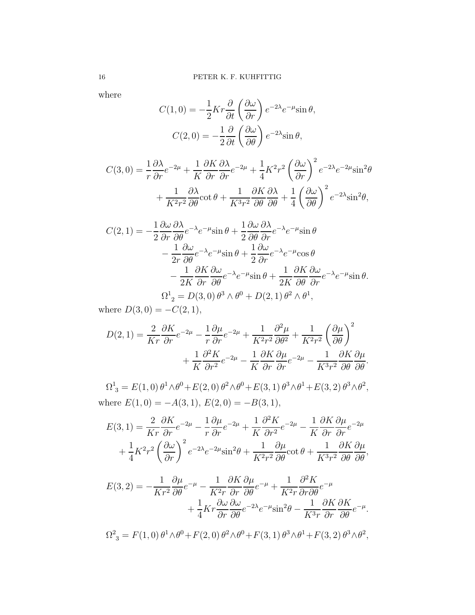where

$$
C(1,0) = -\frac{1}{2}Kr\frac{\partial}{\partial t}\left(\frac{\partial \omega}{\partial r}\right)e^{-2\lambda}e^{-\mu}\sin\theta,
$$

$$
C(2,0) = -\frac{1}{2}\frac{\partial}{\partial t}\left(\frac{\partial \omega}{\partial \theta}\right)e^{-2\lambda}\sin\theta,
$$

$$
C(3,0) = \frac{1}{r} \frac{\partial \lambda}{\partial r} e^{-2\mu} + \frac{1}{K} \frac{\partial K}{\partial r} \frac{\partial \lambda}{\partial r} e^{-2\mu} + \frac{1}{4} K^2 r^2 \left(\frac{\partial \omega}{\partial r}\right)^2 e^{-2\lambda} e^{-2\mu} \sin^2 \theta
$$

$$
+ \frac{1}{K^2 r^2} \frac{\partial \lambda}{\partial \theta} \cot \theta + \frac{1}{K^3 r^2} \frac{\partial K}{\partial \theta} \frac{\partial \lambda}{\partial \theta} + \frac{1}{4} \left(\frac{\partial \omega}{\partial \theta}\right)^2 e^{-2\lambda} \sin^2 \theta,
$$

$$
C(2, 1) = -\frac{1}{2} \frac{\partial \omega}{\partial r} \frac{\partial \lambda}{\partial \theta} e^{-\lambda} e^{-\mu} \sin \theta + \frac{1}{2} \frac{\partial \omega}{\partial \theta} \frac{\partial \lambda}{\partial r} e^{-\lambda} e^{-\mu} \sin \theta - \frac{1}{2r} \frac{\partial \omega}{\partial \theta} e^{-\lambda} e^{-\mu} \sin \theta + \frac{1}{2} \frac{\partial \omega}{\partial r} e^{-\lambda} e^{-\mu} \cos \theta - \frac{1}{2K} \frac{\partial K}{\partial r} \frac{\partial \omega}{\partial \theta} e^{-\lambda} e^{-\mu} \sin \theta + \frac{1}{2K} \frac{\partial K}{\partial \theta} \frac{\partial \omega}{\partial r} e^{-\lambda} e^{-\mu} \sin \theta \Omega^1{}_2 = D(3, 0) \theta^3 \wedge \theta^0 + D(2, 1) \theta^2 \wedge \theta^1,
$$

where  $D(3,0) = -C(2,1),$ 

$$
D(2,1) = \frac{2}{Kr} \frac{\partial K}{\partial r} e^{-2\mu} - \frac{1}{r} \frac{\partial \mu}{\partial r} e^{-2\mu} + \frac{1}{K^2 r^2} \frac{\partial^2 \mu}{\partial \theta^2} + \frac{1}{K^2 r^2} \left(\frac{\partial \mu}{\partial \theta}\right)^2 + \frac{1}{K} \frac{\partial^2 K}{\partial r^2} e^{-2\mu} - \frac{1}{K} \frac{\partial K}{\partial r} \frac{\partial \mu}{\partial r} e^{-2\mu} - \frac{1}{K^3 r^2} \frac{\partial K}{\partial \theta} \frac{\partial \mu}{\partial \theta}.
$$

 $\Omega^1_{3} = E(1,0) \,\theta^1 \wedge \theta^0 + E(2,0) \,\theta^2 \wedge \theta^0 + E(3,1) \,\theta^3 \wedge \theta^1 + E(3,2) \,\theta^3 \wedge \theta^2$ where  $E(1,0) = -A(3,1), E(2,0) = -B(3,1),$ 

$$
E(3,1) = \frac{2}{Kr} \frac{\partial K}{\partial r} e^{-2\mu} - \frac{1}{r} \frac{\partial \mu}{\partial r} e^{-2\mu} + \frac{1}{K} \frac{\partial^2 K}{\partial r^2} e^{-2\mu} - \frac{1}{K} \frac{\partial K}{\partial r} \frac{\partial \mu}{\partial r} e^{-2\mu} + \frac{1}{4} K^2 r^2 \left(\frac{\partial \omega}{\partial r}\right)^2 e^{-2\lambda} e^{-2\mu} \sin^2 \theta + \frac{1}{K^2 r^2} \frac{\partial \mu}{\partial \theta} \cot \theta + \frac{1}{K^3 r^2} \frac{\partial K}{\partial \theta} \frac{\partial \mu}{\partial \theta},
$$

$$
E(3,2) = -\frac{1}{Kr^2} \frac{\partial \mu}{\partial \theta} e^{-\mu} - \frac{1}{K^2 r} \frac{\partial K}{\partial r} \frac{\partial \mu}{\partial \theta} e^{-\mu} + \frac{1}{K^2 r} \frac{\partial^2 K}{\partial r \partial \theta} e^{-\mu} + \frac{1}{4} K r \frac{\partial \omega}{\partial r} \frac{\partial \omega}{\partial \theta} e^{-2\lambda} e^{-\mu} \sin^2 \theta - \frac{1}{K^3 r} \frac{\partial K}{\partial r} \frac{\partial K}{\partial \theta} e^{-\mu}.
$$

$$
\Omega_3^2 = F(1,0)\,\theta^1 \wedge \theta^0 + F(2,0)\,\theta^2 \wedge \theta^0 + F(3,1)\,\theta^3 \wedge \theta^1 + F(3,2)\,\theta^3 \wedge \theta^2,
$$